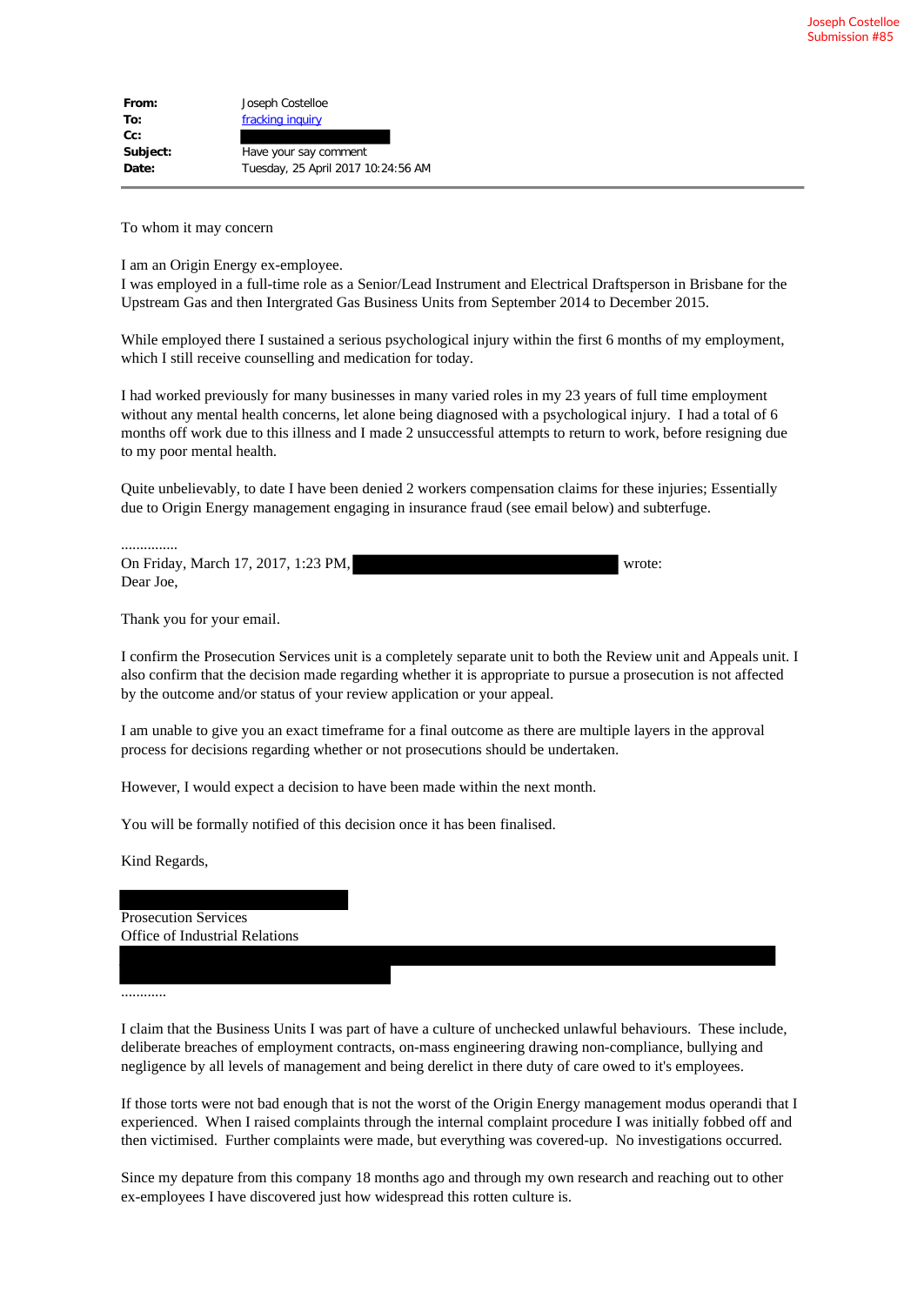| From:    | Joseph Costelloe                   |
|----------|------------------------------------|
| To:      | fracking inquiry                   |
| $Cc$ :   |                                    |
| Subject: | Have your say comment              |
| Date:    | Tuesday, 25 April 2017 10:24:56 AM |

To whom it may concern

I am an Origin Energy ex-employee.

I was employed in a full-time role as a Senior/Lead Instrument and Electrical Draftsperson in Brisbane for the Upstream Gas and then Intergrated Gas Business Units from September 2014 to December 2015.

While employed there I sustained a serious psychological injury within the first 6 months of my employment, which I still receive counselling and medication for today.

I had worked previously for many businesses in many varied roles in my 23 years of full time employment without any mental health concerns, let alone being diagnosed with a psychological injury. I had a total of 6 months off work due to this illness and I made 2 unsuccessful attempts to return to work, before resigning due to my poor mental health.

Quite unbelievably, to date I have been denied 2 workers compensation claims for these injuries; Essentially due to Origin Energy management engaging in insurance fraud (see email below) and subterfuge.

............... On Friday, March 17, 2017, 1:23 PM, wrote: Dear Joe,

Thank you for your email.

I confirm the Prosecution Services unit is a completely separate unit to both the Review unit and Appeals unit. I also confirm that the decision made regarding whether it is appropriate to pursue a prosecution is not affected by the outcome and/or status of your review application or your appeal.

I am unable to give you an exact timeframe for a final outcome as there are multiple layers in the approval process for decisions regarding whether or not prosecutions should be undertaken.

However, I would expect a decision to have been made within the next month.

You will be formally notified of this decision once it has been finalised.

Kind Regards,

Prosecution Services Office of Industrial Relations

............

I claim that the Business Units I was part of have a culture of unchecked unlawful behaviours. These include, deliberate breaches of employment contracts, on-mass engineering drawing non-compliance, bullying and negligence by all levels of management and being derelict in there duty of care owed to it's employees.

If those torts were not bad enough that is not the worst of the Origin Energy management modus operandi that I experienced. When I raised complaints through the internal complaint procedure I was initially fobbed off and then victimised. Further complaints were made, but everything was covered-up. No investigations occurred.

Since my depature from this company 18 months ago and through my own research and reaching out to other ex-employees I have discovered just how widespread this rotten culture is.